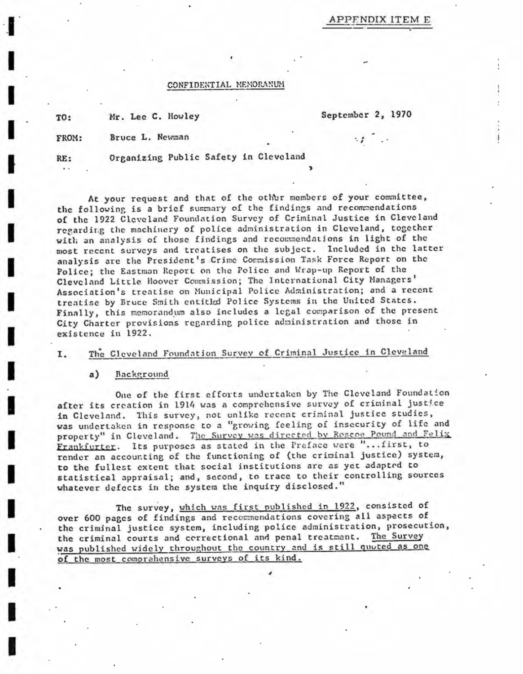# APPENDIX ITEM E

# CONFIDENTIAL MEMORANUM

Mr. Lee C. Howley TO:

September 2, 1970

Bruce L. Newman FROM:

RE: а.

Organizing Public Safety in Cleveland

At your request and that of the other members of your committee, the following is a brief summary of the findings and recommendations of the 1922 Cleveland Foundation Survey of Criminal Justice in Cleveland regarding the machinery of police administration in Cleveland, together with an analysis of those findings and recommendations in light of the most recent surveys and treatises on the subject. Included in the latter analysis are the President's Crime Commission Task Force Report on the Police; the Eastman Report on the Police and Wrap-up Report of the Cleveland Little Hoover Commission; The International City Managers' Association's treatise on Municipal Police Administration; and a recent treatise by Bruce Smith entitled Police Systems in the United States. Finally, this memorandum also includes a legal comparison of the present City Charter provisions regarding police administration and those in existence in 1922.

#### The Cleveland Foundation Survey of Criminal Justice in Cleveland I.

#### Background  $a)$

One of the first efforts undertaken by The Cleveland Foundation after its creation in 1914 was a comprehensive survey of criminal justice in Cleveland. This survey, not unlike recent criminal justice studies, was undertaken in response to a "growing feeling of insecurity of life and property" in Cleveland. The Survey was directed by Roscoe Pound and Felix Frankfurter. Its purposes as stated in the Preface were "... first, to render an accounting of the functioning of (the criminal justice) system, to the fullest extent that social institutions are as yet adapted to statistical appraisal; and, second, to trace to their controlling sources whatever defects in the system the inquiry disclosed."

The survey, which was first published in 1922, consisted of over 600 pages of findings and recommendations covering all aspects of the criminal justice system, including police administration, prosecution, the criminal courts and correctional and penal treatment. The Survey was published widely throughout the country and is still quoted as one of the most comprahensive surveys of its kind.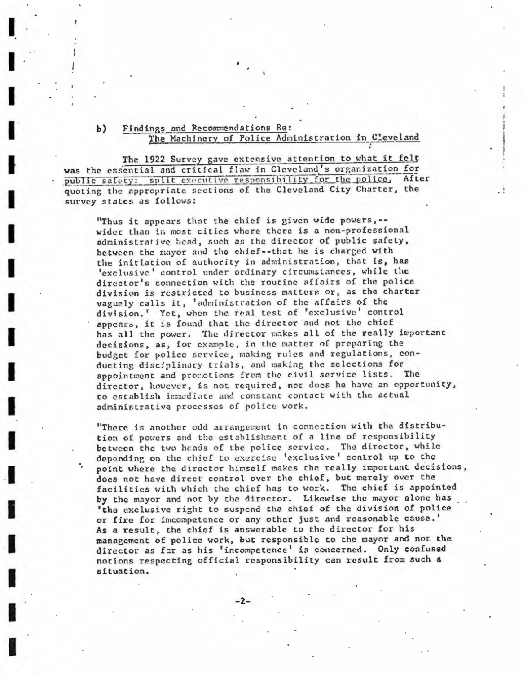### Findings and Recommendations Re:  $b)$ The Machinery of Police Administration in Cleveland

The 1922 Survey gave extensive attention to what it felt was the essential and critical flaw in Cleveland's organization for public safety: split executive responsibility for the police. After quoting the appropriate sections of the Cleveland City Charter, the survey states as follows:

"Thus it appears that the chief is given wide powers, -wider than in most cities where there is a non-professional administrative head, such as the director of public safety, between the mayor and the chief--that he is charged with the initiation of authority in administration, that is, has 'exclusive' control under ordinary circumstances, while the director's connection with the routine affairs of the police division is restricted to business matters or, as the charter vaguely calls it, 'administration of the affairs of the division.' Yet, when the real test of 'exclusive' control appears, it is found that the director and not the chief has all the power. The director makes all of the really important decisions, as, for example, in the matter of preparing the budget for police service, making rules and regulations, conducting disciplinary trials, and making the selections for appointment and promotions from the civil service lists. The director, however, is not required, nor does he have an opportunity, to establish immediate and constant contact with the actual administrative processes of police work.

"There is another odd arrangement in connection with the distribution of powers and the establishment of a line of responsibility between the two heads of the police service. The director, while depending on the chief to exercise 'exclusive' control up to the point where the director himself makes the really important decisions, does not have direct control over the chief, but merely over the facilities with which the chief has to work. The chief is appointed by the mayor and not by the director. Likewise the mayor alone has 'the exclusive right to suspend the chief of the division of police or fire for imcompetence or any other just and reasonable cause.' As a result, the chief is answerable to the director for his management of police work, but responsible to the mayor and not the director as far as his 'incompetence' is concerned. Only confused notions respecting official responsibility can result from such a situation.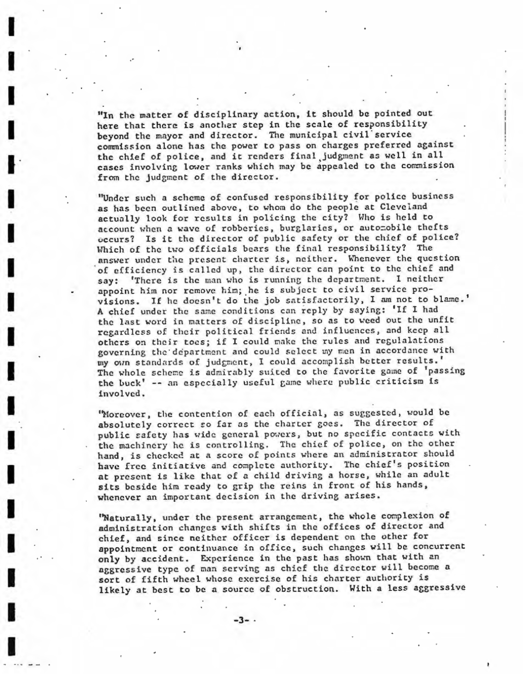"In the matter of disciplinary action, it should be pointed out here that there is another step in the scale of responsibility beyond the mayor and director. The municipal civil service commission alone has the power to pass on charges preferred against the chief of police, and it renders final judgment as well in all cases involving lower ranks which may be appealed to the commission from the judgment of the director.

I

I

I

I

I

I

I

I

I

I

I

I

I

I

I

I

I

I

"Under such a scheme of confused responsibility for police business as has been outlined above, to whom do the people at Cleveland actually look for results in policing the city? Who is held to account when a wave of robberies, burglaries, or automobile thefts occurs? Is it the director of public safety or the chief of police? Which of the two officials bears the final responsibility? The answer under the present charter is, neither. Whenever the question of efficiency is called up, the director can point to the chief and say: 'There is the man who is running the department. I neither appoint him nor remove him; he is subject to civil service provisions. If he doesn't do the job satisfactorily, I am not to blame.' A chief under the same conditions can reply by saying: 'If I had the last word in matters of discipline, so as to weed out the unfit regardless of their political friends and influences, and keep all others on their toes; if I could make the rules and regulalations governing the department and could select my men in accordance with my own standards of judgment, I could accomplish better results.' The whole scheme is admirably suited to the favorite game of 'passing the buck' -- an especially useful game where public criticism is invol ved .

'Moreover, the contention of each official, as suggested, would be absolutely correct so far as the charter goes. The director of public safety has wide general powers, but no specific contacts with the machinery he is controlling. The chief of police, on the other hand, is checked at a score of points where an administrator should have free initiative and complete authority. The chief's position at present is like that of a child driving a horse, while an adult sits beside him ready to grip the reins in front of his hands, whenever an important decision in the driving arises.

'Naturally, under the present arrangement, the whole complexion of administration changes with shifts in the offices of director and chief, and since neither officer is dependent on the other for appointment or continuance in office, such changes will be concurrent only by accident. Experience in the past has shown that with an aggressive type of man serving as chief the director will become a sort of fifth wheel whose exercise of his charter authority is likely at best to be a source of obstruction. With a less aggressive

-3- .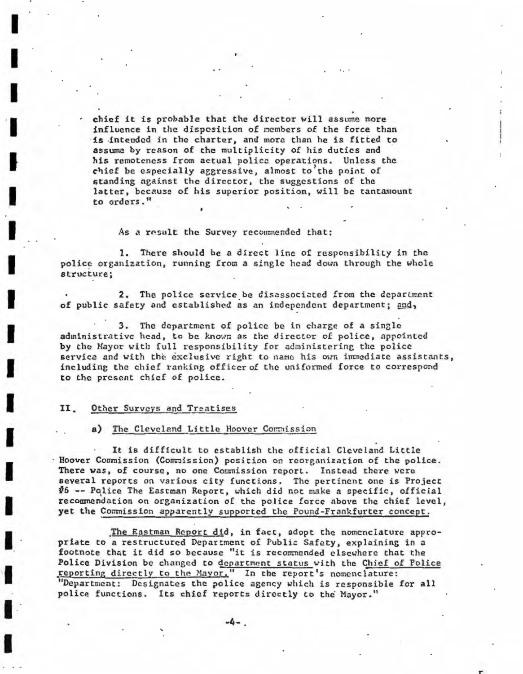chief it is probable that the director will assume more influence in the disposition of members of the force than is intended in the charter, and more than he is fitted to assume by reason of the multiplicity of his duties and his remoteness from actual police operations. Unless the chief be especially aggressive, almost to the point of standing against the director, the suggestions of the latter, because of his superior position, will be tantamount to orders."

As a result the Survey recommended that:

1. There should be a direct line of responsibility in the police organization, running from a single head down through the whole structure;

2. The police service be disassociated from the department of public safety and established as an independent department; and,

3. The department of police be in charge of a single administrative head, to be known as the director of police, appointed by the Mayor with full responsibility for administering the police service and with the exclusive right to name his own immediate assistants, including the chief ranking officer of the uniformed force to correspond to the present chief of police.

#### 11. Other Surveys and Treatises

# a) The Cleveland Little Hoover Commission

It is difficult to establish the official Cleveland Little Hoover Commission (Commission) position on reorganization of the police. There was, of course, no one Commission report. Instead there were several reports on various city functions. The pertinent one is Project #6 -- Police The Eastman Report, which did not make a specific, official recommendation on organization of the police force above the chief level, yet the Commission apparently supported the Pound-Frankfurter concept.

The Eastman Report did, in fact, adopt the nomenclature appropriate to a restructured Department of Public Safety, explaining in a footnote that it did so because "it is recommended elsewhere that the Police Division be changed to department status with the Chief of Police reporting directly to the Mayor." In the report's nomenclature: "Department: Designates the police agency which is responsible for all police functions. Its chief reports directly to the Mayor."

 $-4-$ .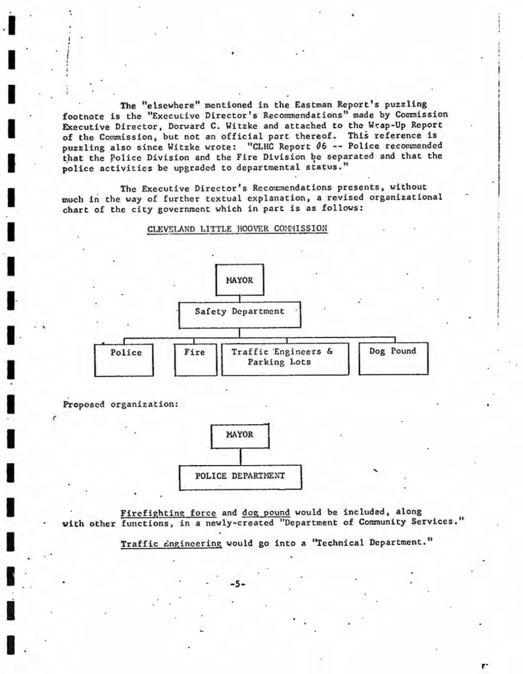The "elsewhere" mentioned in the Eastman Report's puzzling footnote is the "Executive Director's Recommendations" made by Commission Executive Director, Dorward C. Witzke and attached to the Wrap-Up Report of the Commission, but not an official part thereof. This reference is puzzling also since Witzke wrote: "CLHC Report 06 -- Police recommended that the Police Division and the Fire Division be separated and that the police activities be upgraded to departmental status."

The Executive Director's Recommendations presents, without much in the way of further textual explanation, a revised organizational chart of the city government which in part is as follows:



CLEVELAND LITTLE HOOVER COMMISSION

Proposed organization:



Firefighting force and dog pound would be included, along with other functions, in a newly-created "Department of Community Services."

Traffic cngineering would go into a "Technical Department."

r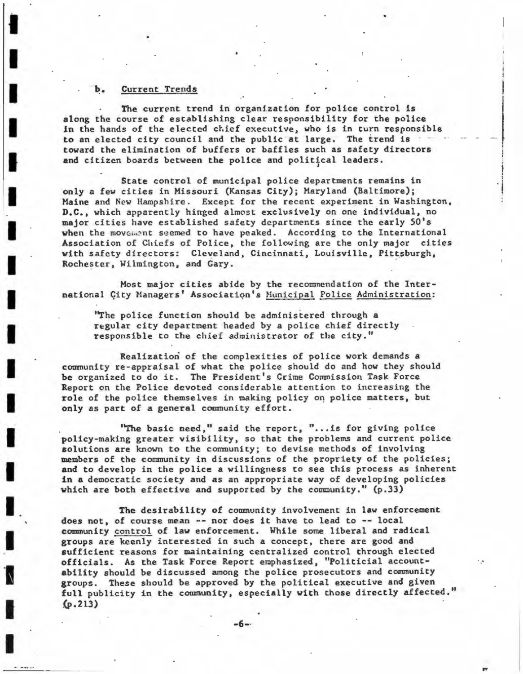## Current Trends

I

I

I

I

I

I

I

I

I

I

I

I

I

I

I

I

I

I

The current trend in organization for police control is along the course of establishing clear responsibility for the police in the hands of the elected chief executive, who is in turn responsible to an elected city council and the public at large. The trend is toward the elimination of buffers or baffles such as safety directors and citizen boards between the police and political leaders.

 $\frac{1}{2}$ . l

State control of municipal police departments remains in only a few cities in Missouri (Kansas City); Maryland (Baltimore) ; Maine and New Hampshire. Except for the recent experiment in Washington, **D.C.,** which apparently hinged almost exclusively on one individual, no major cities have established safety departments since the early 50's when the movement seemed to have peaked. According to the International Association of Chiefs of Police, the following are the only major cities with safety directors: Cleveland, Cincinnati, Louisville, Pittsburgh, Rochester, Wilmington, and Gary.

Most major cities abide by the recommendation of the International Çity Managers' Association's Municipal Police Administration:

' 'The police function should be administered through a regular city department headed by a police chief directly responsible to the chief administrator of the city."

Realization of the complexities of police work demands a community re-appraisal of what the police should do and how they should be organized to do it. The President's Crime Commission Task Force Report on the Police devoted considerable attention to increasing the role of the police themselves in making policy on police matters, but only as part of a general community effort.

"The basic need," said the report, "... is for giving police policy-making greater visibility, so that the problems and current police solutions are known to the community; to devise methods of involving members of the community in discussions of the propriety of the policies; and to develop in the police a willingness to see this process as inherent in a democratic society and as an appropriate way of developing policies which are both effective and supported by the community. " (p.33)

The desirability of community involvement in law enforcement does not, of course mean -- nor does it have to lead to -- local community control of law enforcement. While some liberal and radical groups are keenly interested in such a concept, there are good and sufficient reasons for maintaining centralized control through elected officials. As the Task Force Report emphasized , "Politicial accountability should be discussed among the police prosecutors and community groups. These should be approved by the political executive and given full publicity in the community, especially with those directly affected." (p.213)

**-6-·**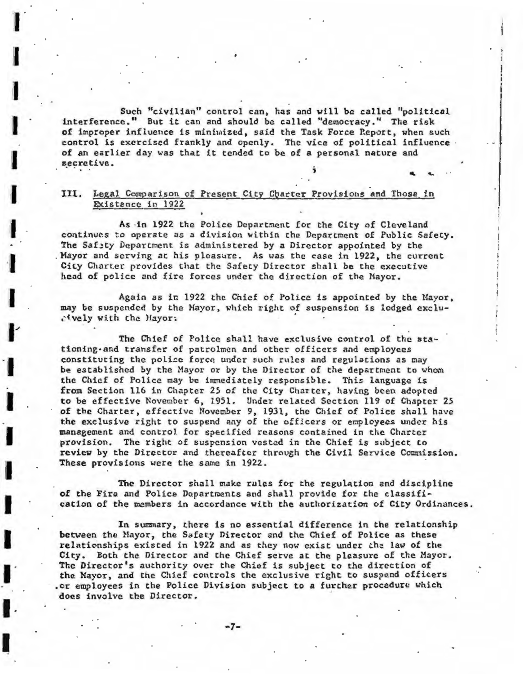Such "civilian" control can, has and will be called "political interference." But it can and should be called "democracy." The risk of improper influence is minimized, said the Task Force Report, when such control is exercised frankly and openly. The vice of political influence of an earlier day was that it tended to be of a personal nature and secretive.

# III. Legal Comparison of Present City Charter Provisions and Those in Existence in 1922

As in 1922 the Police Department for the City of Cleveland continues to operate as a division within the Department of Public Safety. The Safety Department is administered by a Director appointed by the Mayor and serving at his pleasure. As was the case in 1922, the current City Charter provides that the Safety Director shall be the executive head of police and fire forces under the direction of the Mayor.

Again as in 1922 the Chief of Police is appointed by the Mayor, may be suspended by the Mayor, which right of suspension is lodged exclu-. (vely with the Mayor:

The Chief of Police shall have exclusive control of the stationing-and transfer of patrolmen and other officers and employees constituting the police force under such rules and regulations as may be established by the Mayor or by the Director of the department to whom the Chief of Police may be immediately responsible. This language is from Section 116 in Chapter 25 of the City Charter, having been adopted to be effective November 6, 1951. Under related Section 119 of Chapter 25 of the Charter, effective November 9, 1931, the Chief of Police shall have the exclusive right to suspend any of the officers or employees under his management and control for specified reasons contained in the Charter provision. The right of suspension vested in the Chief is subject to review by the Director and thereafter through the Civil Service Commission. These provisions were the same in 1922.

The Director shall make rules for the regulation and discipline of the Fire and Police Departments and shall provide for the classification of the members in accordance with the authorization of City Ordinances.

In summary, there is no essential difference in the relationship between the Mayor, the Safety Director and the Chief of Police as these relationships existed in 1922 and as they now exist under the law of the City. Both the Director and the Chief serve at the pleasure of the Mayor. The Director's authority over the Chief is subject to the direction of the Mayor, and the Chief controls the exclusive right to suspend officers or employees in the Police Division subject to a further procedure which. does involve the Director.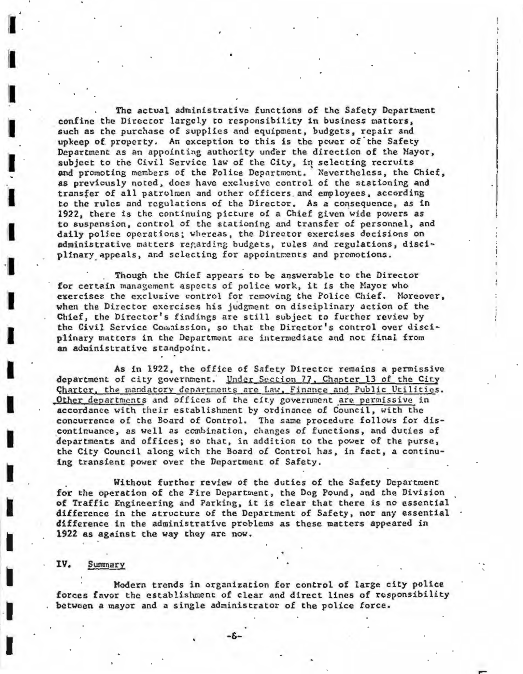The actual administrative functions of the Safety Department confine the Director largely to responsibility in business matters, such as the purchase of supplies and equipment, budgets, repair and upkeep of property. An exception to this is the power of the Safety Department as an appointing authority under the direction of the Mayor, subject to the Civil Service law of the City, in selecting recruits and promoting members of the Police Department. Nevertheless, the Chief, as previously noted, docs have exclusive control of the stationing and transfer of all patrolmen and other officers and employees, according to the rules and regulations of the Director. As a consequence, as in 1922, there is the continuing picture of a Chief given wide powers as to suspension, control of the stationing and transfer of personnel, and **daily** police operations; wb~reas, the Director exercises decisions on administrative matters regarding budgets, rules and regulations, disciplinary appeals, and selecting for appointments and promotions.

Though the Chief appears to be answerable to the Director for certain management aspects of police work, it is the Mayor who exercises the exclusive control for removing the Police Chief. Moreover, when the Director exercises his judgment on disciplinary action of the Chief, the Director's findings are still subject to further review by the Civil Service Commission, so that the Director's control over disciplinary matters in the Department are intermediate and not final from an administrative standpoint.

As in 1922, the office of Safety Directer remains a permissive department of city government. Under Section 77, Chapter 13 of the City **Charter**, the mandatory departments are Law, Finance and Public Utilities. Other departments and offices of the city government are permissive in accordance with their establishment by ordinance of Council, with the concurrence of the Board of Control. The same procedure follows for discontinuance, as well as combination, changes of functions, and duties of departments and offices; so that, in addition to the power of the purse, the City Council along with the Board of Control has, in fact, a continuing transient power over the Department of Safety .

Without further review of the duties of the Safety Department for the operation of the Fire Department, the Dog Pound, and the Division of Traffic Engineering and Parking, it is clear that there is no essential difference in the structure of the Department of Safety, nor any essential  $\cdot$ difference in the administrative problems as these matters appeared in **1922 as** against the way they are now.

### **IV.** Summary

II

11

I

I

I

I

I

**·I** 

I

I

I

I

I

**l** 

**l** 

I

I

**-1** 

I

Modern trends in organization for control of large city police forces favor the establishment of clear and direct lines of responsibility between a mayor and a single administrator of the police force.

,-

-6-